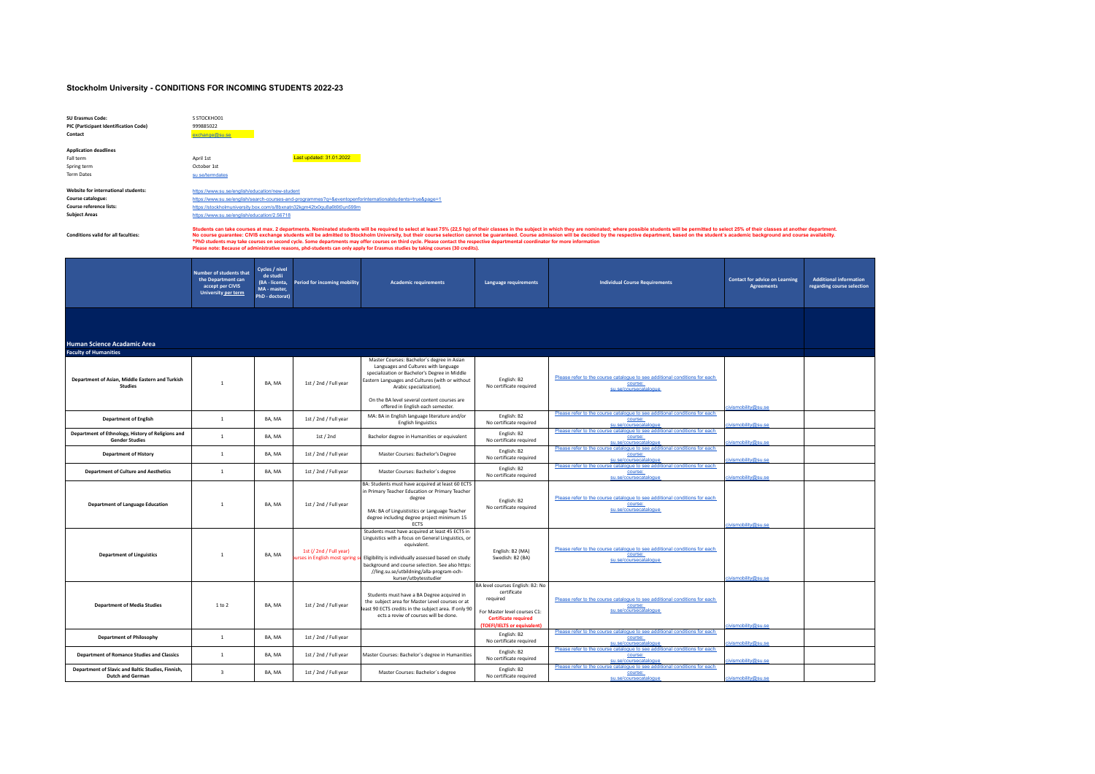## **Stockholm University - CONDITIONS FOR INCOMING STUDENTS 2022-23**

| SU Frasmus Code:<br>PIC (Participant Identification Code)<br>Contact                                        | S STOCKHOO1<br>999885022<br>exchange@su.se                                                                                                                                                                                                                                                                                                                                                                                                                                                                                                                                                                                                                                                                                                                                           |                                                                                  |                                                          |                                                                                                                                                                                                                                                                                                        |                                                                                                                                                           |                                                                                                                |                                                            |                                                             |  |  |
|-------------------------------------------------------------------------------------------------------------|--------------------------------------------------------------------------------------------------------------------------------------------------------------------------------------------------------------------------------------------------------------------------------------------------------------------------------------------------------------------------------------------------------------------------------------------------------------------------------------------------------------------------------------------------------------------------------------------------------------------------------------------------------------------------------------------------------------------------------------------------------------------------------------|----------------------------------------------------------------------------------|----------------------------------------------------------|--------------------------------------------------------------------------------------------------------------------------------------------------------------------------------------------------------------------------------------------------------------------------------------------------------|-----------------------------------------------------------------------------------------------------------------------------------------------------------|----------------------------------------------------------------------------------------------------------------|------------------------------------------------------------|-------------------------------------------------------------|--|--|
| <b>Application deadlines</b><br>Fall term<br>Spring term<br><b>Term Dates</b>                               | April 1st<br>October 1st<br>su.se/termdates                                                                                                                                                                                                                                                                                                                                                                                                                                                                                                                                                                                                                                                                                                                                          |                                                                                  | Last updated: 31.01.2022                                 |                                                                                                                                                                                                                                                                                                        |                                                                                                                                                           |                                                                                                                |                                                            |                                                             |  |  |
| Website for international students:<br>Course catalogue:<br>Course reference lists:<br><b>Subject Areas</b> | https://www.su.se/english/education/new-student<br>https://www.su.se/english/search-courses-and-programmes?q=&eventopenforinternationalstudents=true&page=1<br>https://stockholmuniversity.box.com/s/8bxnatn32kgm42tx0gu8a6t6t0un599m<br>https://www.su.se/english/education/2.56718                                                                                                                                                                                                                                                                                                                                                                                                                                                                                                 |                                                                                  |                                                          |                                                                                                                                                                                                                                                                                                        |                                                                                                                                                           |                                                                                                                |                                                            |                                                             |  |  |
| <b>Conditions valid for all faculties:</b>                                                                  | Students can take courses at max. 2 departments. Nominated students will be required to select at least 75% (22,5 hp) of their classes in the subject in which they are nominated; where possible students will be permitted t<br>No course guarantee: CIVIS exchange students will be admitted to Stockholm University, but their course selection cannot be guaranteed. Course admission will be decided by the respective department, based on the student's<br>*PhD students may take courses on second cycle. Some departments may offer courses on third cycle. Please contact the respective departmental coordinator for more information<br>Please note: Because of administrative reasons. phd-students can only apply for Erasmus studies by taking courses (30 credits). |                                                                                  |                                                          |                                                                                                                                                                                                                                                                                                        |                                                                                                                                                           |                                                                                                                |                                                            |                                                             |  |  |
|                                                                                                             | Number of students that<br>the Department can<br>accept per CIVIS<br><b>University per term</b>                                                                                                                                                                                                                                                                                                                                                                                                                                                                                                                                                                                                                                                                                      | Cycles / nivel<br>de studii<br>(BA - licenta.<br>MA - master,<br>PhD - doctorat) | Period for incoming mobility                             | <b>Academic requirements</b>                                                                                                                                                                                                                                                                           | Language requirements                                                                                                                                     | <b>Individual Course Requirements</b>                                                                          | <b>Contact for advice on Learning</b><br><b>Agreements</b> | <b>Additional information</b><br>regarding course selection |  |  |
| Human Science Acadamic Area<br><b>Faculty of Humanities</b>                                                 |                                                                                                                                                                                                                                                                                                                                                                                                                                                                                                                                                                                                                                                                                                                                                                                      |                                                                                  |                                                          |                                                                                                                                                                                                                                                                                                        |                                                                                                                                                           |                                                                                                                |                                                            |                                                             |  |  |
| Department of Asian, Middle Eastern and Turkish<br><b>Studies</b>                                           | $\overline{1}$                                                                                                                                                                                                                                                                                                                                                                                                                                                                                                                                                                                                                                                                                                                                                                       | BA, MA                                                                           | 1st / 2nd / Full year                                    | Master Courses: Bachelor's degree in Asian<br>Languages and Cultures with language<br>specialization or Bachelor's Degree in Middle<br>Eastern Languages and Cultures (with or without<br>Arabic specialization).                                                                                      | English: B2<br>No certificate required                                                                                                                    | Please refer to the course catalogue to see additional conditions for each<br>course:<br>su.se/coursecatalogue |                                                            |                                                             |  |  |
|                                                                                                             |                                                                                                                                                                                                                                                                                                                                                                                                                                                                                                                                                                                                                                                                                                                                                                                      |                                                                                  |                                                          | On the BA level several content courses are<br>offered in English each semester.                                                                                                                                                                                                                       |                                                                                                                                                           | Please refer to the course catalogue to see additional conditions for each                                     | obility@su sr                                              |                                                             |  |  |
| <b>Department of English</b>                                                                                | $1\,$                                                                                                                                                                                                                                                                                                                                                                                                                                                                                                                                                                                                                                                                                                                                                                                | BA, MA                                                                           | 1st / 2nd / Full year                                    | MA: BA in English language literature and/or<br><b>English linguistics</b>                                                                                                                                                                                                                             | English: B2<br>No certificate required                                                                                                                    | course:<br>su se/coursecatal<br>Please refer to the course catalogue to see additional conditions for each     | vismobility@su.se                                          |                                                             |  |  |
| Department of Ethnology, History of Religions and<br><b>Gender Studies</b>                                  | $1\,$                                                                                                                                                                                                                                                                                                                                                                                                                                                                                                                                                                                                                                                                                                                                                                                | BA, MA                                                                           | 1st / 2nd                                                | Bachelor degree in Humanities or equivalent                                                                                                                                                                                                                                                            | English: B2<br>No certificate required                                                                                                                    | course:<br>su.se/coursecatalogu                                                                                | ismobility@su.se                                           |                                                             |  |  |
| <b>Department of History</b>                                                                                | $\mathbf{1}$                                                                                                                                                                                                                                                                                                                                                                                                                                                                                                                                                                                                                                                                                                                                                                         | BA, MA                                                                           | 1st / 2nd / Full year                                    | Master Courses: Bachelor's Degree                                                                                                                                                                                                                                                                      | English: B2<br>No certificate required                                                                                                                    | Please refer to the course catalogue to see additional conditions for each<br>course:<br>su.se/coursecatalogue | smobility@su.se                                            |                                                             |  |  |
| <b>Department of Culture and Aesthetics</b>                                                                 | $\,$ 1 $\,$                                                                                                                                                                                                                                                                                                                                                                                                                                                                                                                                                                                                                                                                                                                                                                          | BA, MA                                                                           | 1st / 2nd / Full year                                    | Master Courses: Bachelor's degree                                                                                                                                                                                                                                                                      | Fnglish: R2<br>No certificate required                                                                                                                    | Please refer to the course catalogue to see additional conditions for each<br>course:<br>su.se/coursecatalogue | ivismobility@su.se                                         |                                                             |  |  |
| <b>Department of Language Education</b>                                                                     | $\overline{1}$                                                                                                                                                                                                                                                                                                                                                                                                                                                                                                                                                                                                                                                                                                                                                                       | BA, MA                                                                           | 1st / 2nd / Full year                                    | BA: Students must have acquired at least 60 ECTS<br>in Primary Teacher Education or Primary Teacher<br>degree<br>MA: BA of Linguististics or Language Teacher<br>degree including degree project minimum 15<br><b>ECTS</b>                                                                             | English: B2<br>No certificate required                                                                                                                    | Please refer to the course catalogue to see additional conditions for each<br>course:<br>su.se/coursecatalogue | vismobility@su sr                                          |                                                             |  |  |
| <b>Department of Linguistics</b>                                                                            | $\overline{1}$                                                                                                                                                                                                                                                                                                                                                                                                                                                                                                                                                                                                                                                                                                                                                                       | BA, MA                                                                           | 1st (/ 2nd / Full year)<br>rses in English most spring s | Students must have acquired at least 45 ECTS in<br>Linguistics with a focus on General Linguistics, or<br>equivalent.<br>Eligibility is individually assessed based on study<br>background and course selection. See also https:<br>//ling.su.se/utbildning/alla-program-och-<br>kurser/utbytesstudier | English: B2 (MA)<br>Swedish: B2 (BA)                                                                                                                      | Please refer to the course catalogue to see additional conditions for each<br>course:<br>su.se/coursecatalogue | vismobility@su.se                                          |                                                             |  |  |
| <b>Department of Media Studies</b>                                                                          | 1 to 2                                                                                                                                                                                                                                                                                                                                                                                                                                                                                                                                                                                                                                                                                                                                                                               | BA, MA                                                                           | 1st / 2nd / Full year                                    | Students must have a BA Degree acquired in<br>the subject area for Master Level courses or at<br>east 90 ECTS credits in the subject area. If only 90<br>ects a reviw of courses will be done.                                                                                                         | BA level courses English: B2: No<br>certificate<br>required<br>For Master level courses C1:<br><b>Certificate required</b><br>(TOEFI/IELTS or equivalent) | Please refer to the course catalogue to see additional conditions for each<br>course:<br>su.se/coursecatalogue | ismobility@su.se                                           |                                                             |  |  |
| <b>Department of Philosophy</b>                                                                             | $\overline{1}$                                                                                                                                                                                                                                                                                                                                                                                                                                                                                                                                                                                                                                                                                                                                                                       | BA, MA                                                                           | 1st / 2nd / Full year                                    |                                                                                                                                                                                                                                                                                                        | English: B2<br>No certificate required                                                                                                                    | Please refer to the course catalogue to see additional conditions for each<br>course:<br>su se/coursecata      | obility@su.se                                              |                                                             |  |  |
| <b>Department of Romance Studies and Classics</b>                                                           | $\overline{1}$                                                                                                                                                                                                                                                                                                                                                                                                                                                                                                                                                                                                                                                                                                                                                                       | BA, MA                                                                           | 1st / 2nd / Full year                                    | Master Courses: Bachelor's degree in Humanities                                                                                                                                                                                                                                                        | English: B2<br>No certificate required                                                                                                                    | Please refer to the course catalogue to see additional conditions for each<br>course:<br>su se/coursecata      | vismobility@su.se                                          |                                                             |  |  |
| Department of Slavic and Baltic Studies, Finnish,<br><b>Dutch and German</b>                                | $\overline{3}$                                                                                                                                                                                                                                                                                                                                                                                                                                                                                                                                                                                                                                                                                                                                                                       | BA, MA                                                                           | 1st / 2nd / Full year                                    | Master Courses: Bachelor's degree                                                                                                                                                                                                                                                                      | English: B2<br>No certificate required                                                                                                                    | Please refer to the course catalogue to see additional conditions for each<br>course:<br>en eo.<br>ureocata    | ivismobility@su.se                                         |                                                             |  |  |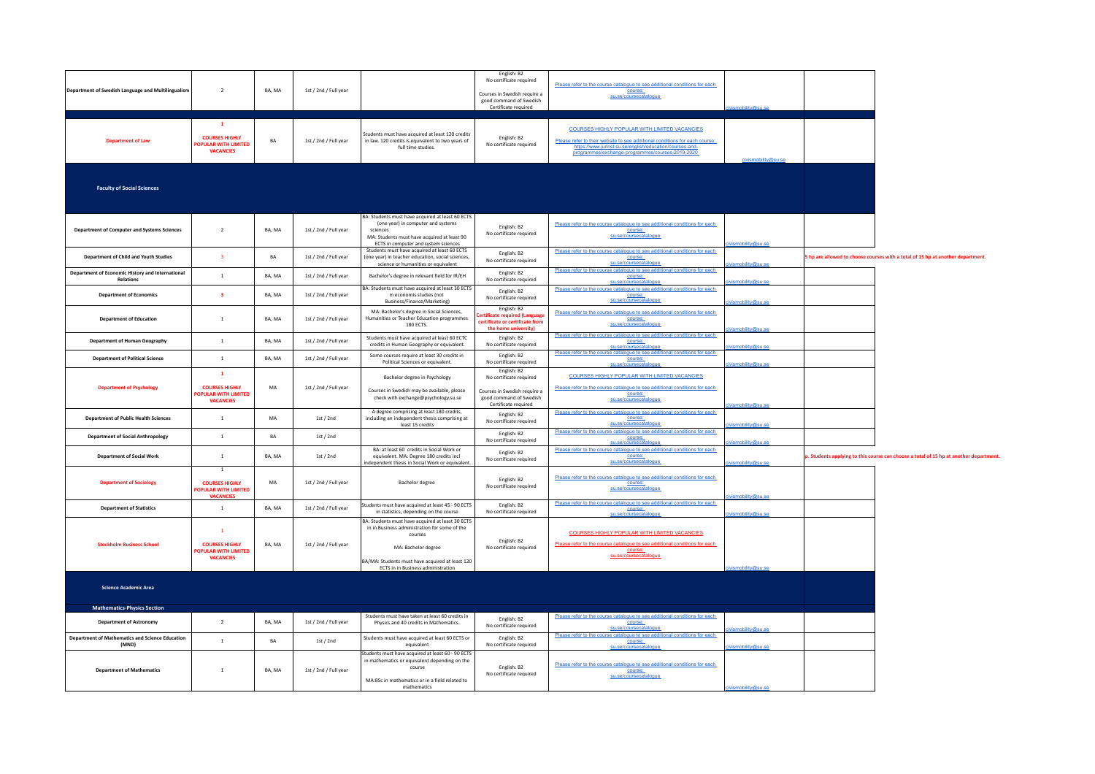| Department of Swedish Language and Multilingualism              | $\overline{2}$                                                                            | BA, MA | 1st / 2nd / Full year |                                                                                                                                                                                                                                     | English: B2<br>No certificate required<br>Courses in Swedish require a<br>good command of Swedish<br>Certificate required | Please refer to the course catalogue to see additional conditions for each<br>course:<br>su.se/coursecatalogue                                                                                                                                      |                     |                                                                                       |
|-----------------------------------------------------------------|-------------------------------------------------------------------------------------------|--------|-----------------------|-------------------------------------------------------------------------------------------------------------------------------------------------------------------------------------------------------------------------------------|---------------------------------------------------------------------------------------------------------------------------|-----------------------------------------------------------------------------------------------------------------------------------------------------------------------------------------------------------------------------------------------------|---------------------|---------------------------------------------------------------------------------------|
| <b>Department of Law</b>                                        | $\mathbf{1}$<br><b>COURSES HIGHLY</b><br><b>OPULAR WITH LIMITED</b><br><b>VACANCIES</b>   | RA     | 1st / 2nd / Full year | Students must have acquired at least 120 credits<br>in law, 120 credits is equivalent to two years of<br>full time studies.                                                                                                         | English: B2<br>No certificate required                                                                                    | <b>COURSES HIGHLY POPULAR WITH LIMITED VACANCIES</b><br>Please refer to their website to see additional conditions for each course:<br>https://www.jurinst.su.se/english/education/courses-and-<br>programmes/exchange-programmes/courses-2019-2020 | civismobility@su.se |                                                                                       |
| <b>Faculty of Social Sciences</b>                               |                                                                                           |        |                       |                                                                                                                                                                                                                                     |                                                                                                                           |                                                                                                                                                                                                                                                     |                     |                                                                                       |
| <b>Department of Computer and Systems Sciences</b>              | $\overline{2}$                                                                            | BA, MA | 1st / 2nd / Full year | BA: Students must have acquired at least 60 ECTS<br>(one year) in computer and systems<br>sciences<br>MA: Students must have acquired at least 90<br>ECTS in computer and system sciences                                           | English: B2<br>No certificate required                                                                                    | Please refer to the course catalogue to see additional conditions for each<br>course:<br>su.se/coursecatalogue                                                                                                                                      | nhilitv@su.se       |                                                                                       |
| <b>Department of Child and Youth Studies</b>                    | $\overline{\mathbf{3}}$                                                                   | BA     | 1st / 2nd / Full year | Students must have acquired at least 60 ECTS<br>(one year) in teacher education, social sciences,<br>science or humanities or equivalent                                                                                            | Fnølish: R2<br>No certificate required                                                                                    | Please refer to the course catalogue to see additional conditions for each<br>course:<br>su.se/coursecatalogue                                                                                                                                      | smobility@su.se     | hp are allowed to choose courses with a total of 15 hp at another department.         |
| Department of Economic History and International                | $\mathbf{1}$                                                                              | BA, MA | 1st / 2nd / Full year | Bachelor's degree in relevant field for IR/EH                                                                                                                                                                                       | English: B2                                                                                                               | Please refer to the course catalogue to see additional conditions for each<br>course:                                                                                                                                                               |                     |                                                                                       |
| <b>Relations</b>                                                |                                                                                           |        |                       | BA: Students must have acquired at least 30 ECTS                                                                                                                                                                                    | No certificate required                                                                                                   | su.se/coursed<br>Please refer to the course catalogue to see additional conditions for each                                                                                                                                                         |                     |                                                                                       |
| <b>Department of Economics</b>                                  | $\overline{\mathbf{3}}$                                                                   | BA, MA | 1st / 2nd / Full year | in economis studies (not<br>Business/Finance/Marketing)                                                                                                                                                                             | English: B2<br>No certificate required                                                                                    | course:<br>su.se/coursecatalogue                                                                                                                                                                                                                    | ismobility@su se    |                                                                                       |
| <b>Department of Education</b>                                  | $\overline{1}$                                                                            | BA, MA | 1st / 2nd / Full year | MA: Bachelor's degree in Social Sciences,<br>Humanities or Teacher Education programmes<br>180 ECTS.                                                                                                                                | English: B2<br>tificate required (Language<br>ertificate or certificate from<br>the home university)                      | Please refer to the course catalogue to see additional conditions for each<br>course:<br>su.se/coursecatalogue                                                                                                                                      | mobility@su se      |                                                                                       |
| <b>Department of Human Geography</b>                            | $\mathbf{1}$                                                                              | BA, MA | 1st / 2nd / Full year | Students must have acquired at least 60 ECTC<br>credits in Human Geography or equivalent.                                                                                                                                           | English: B2<br>No certificate required                                                                                    | Please refer to the course catalogue to see additional conditions for each<br>course:<br>se/coursecat                                                                                                                                               | obility@su.se       |                                                                                       |
| <b>Department of Political Science</b>                          | $\mathbf{1}$                                                                              | BA, MA | 1st / 2nd / Full year | Some courses require at least 30 credits in<br>Political Sciences or equivalent.                                                                                                                                                    | English: B2<br>No certificate required                                                                                    | Please refer to the course catalogue to see additional conditions for each<br>course:<br>su se/coursecatalogue                                                                                                                                      | mobility@su se      |                                                                                       |
| <b>Department of Psychology</b>                                 | $\mathbf{1}$<br><b>COURSES HIGHLY</b><br><b>OPULAR WITH LIMITED</b><br><b>VACANCIES</b>   | MA     | 1st / 2nd / Full year | Bachelor degree in Psychology<br>Courses in Swedish may be available, please<br>check with exchange@psychology.su.se                                                                                                                | English: B2<br>No certificate required<br>Courses in Swedish require a<br>good command of Swedish<br>Certificate required | <b>COURSES HIGHLY POPULAR WITH LIMITED VACANCIES</b><br>Please refer to the course catalogue to see additional conditions for each<br>course:<br>su.se/coursecatalogue                                                                              | nobility@su.se      |                                                                                       |
| <b>Department of Public Health Sciences</b>                     | $\overline{1}$                                                                            | MA     | 1st / 2nd             | A degree comprising at least 180 credits,<br>including an independent thesis comprising at<br>least 15 credits                                                                                                                      | Fnølish: R2<br>No certificate required                                                                                    | Please refer to the course catalogue to see additional conditions for each<br>course:<br>su.se/coursecatalogue                                                                                                                                      | obility@su se       |                                                                                       |
| <b>Department of Social Anthropology</b>                        | $\mathbf{1}$                                                                              | BA     | 1st / 2nd             |                                                                                                                                                                                                                                     | English: B2<br>No certificate required                                                                                    | Please refer to the course catalogue to see additional conditions for each<br>course:<br>coursecat                                                                                                                                                  |                     |                                                                                       |
| <b>Department of Social Work</b>                                | $\mathbf{1}$                                                                              | BA, MA | 1st / 2nd             | BA: at least 60 credits in Social Work or<br>equivalent, MA: Degree 180 credits incl<br>independent thesis in Social Work or equivalent.                                                                                            | English: B2<br>No certificate required                                                                                    | Please refer to the course catalogue to see additional conditions for each<br>course:<br>su.se/coursecatalogue                                                                                                                                      | ismobility@su.se    | . Students applying to this course can choose a total of 15 hp at another department. |
| <b>Department of Sociology</b>                                  | $\mathbf{1}$<br><b>COURSES HIGHLY</b><br><b>OPULAR WITH LIMITED</b><br><b>VACANCIES</b>   | MA     | 1st / 2nd / Full year | <b>Bachelor degree</b>                                                                                                                                                                                                              | English: B2<br>No certificate required                                                                                    | Please refer to the course catalogue to see additional conditions for each<br>course:<br>su.se/coursecatalogue                                                                                                                                      | mobility@su.se      |                                                                                       |
| <b>Department of Statistics</b>                                 | $\mathbf{1}$                                                                              | BA, MA | 1st / 2nd / Full year | Students must have acquired at least 45 - 90 ECTS<br>in statistics, depending on the course                                                                                                                                         | English: B2<br>No certificate required                                                                                    | Please refer to the course catalogue to see additional conditions for each<br>course:<br>su.se/coursecatalogue                                                                                                                                      | smobility@su.se     |                                                                                       |
| <b>Stockholm Business School</b>                                | $\overline{1}$<br><b>COURSES HIGHLY</b><br><b>OPULAR WITH LIMITED</b><br><b>VACANCIES</b> | BA, MA | 1st / 2nd / Full year | BA: Students must have acquired at least 30 ECTS<br>in in Business administration for some of the<br>courses<br>MA: Bachelor degree<br>BA/MA: Students must have acquired at least 120<br><b>ECTS</b> in in Business administration | English: B2<br>No certificate required                                                                                    | <b>COURSES HIGHLY POPULAR WITH LIMITED VACANCIES</b><br>Please refer to the course catalogue to see additional conditions for each<br>course:<br>su.se/coursecatalogue                                                                              | <b>Mility@su.s</b>  |                                                                                       |
| <b>Science Academic Area</b>                                    |                                                                                           |        |                       |                                                                                                                                                                                                                                     |                                                                                                                           |                                                                                                                                                                                                                                                     |                     |                                                                                       |
| <b>Mathematics-Physics Section</b>                              |                                                                                           |        |                       |                                                                                                                                                                                                                                     |                                                                                                                           |                                                                                                                                                                                                                                                     |                     |                                                                                       |
| <b>Department of Astronomy</b>                                  | $\overline{2}$                                                                            | BA, MA | 1st / 2nd / Full year | Students must have taken at least 60 credits in<br>Physics and 40 credits in Mathematics.                                                                                                                                           | English: B2<br>No certificate required                                                                                    | Please refer to the course catalogue to see additional conditions for each<br>course:<br>su.se/coursecatalogue                                                                                                                                      | ity@eu.co           |                                                                                       |
| <b>Department of Mathematics and Science Education</b><br>(MND) | $\mathbf{1}$                                                                              | BA     | 1st / 2nd             | Students must have acquired at least 60 ECTS or<br>equivalent                                                                                                                                                                       | Fnglish: R2<br>No certificate required                                                                                    | Please refer to the course catalogue to see additional conditions for each<br>course:<br>J.se/coursecatalogu                                                                                                                                        | mobility@su.so      |                                                                                       |
| <b>Department of Mathematics</b>                                | $1\,$                                                                                     | BA, MA | 1st / 2nd / Full year | Students must have acquired at least 60 - 90 ECTS<br>in mathematics or equivalent depending on the<br>course<br>MA:BSc in mathematics or in a field related to<br>mathematics                                                       | Fnølish: B2<br>No certificate required                                                                                    | Please refer to the course catalogue to see additional conditions for each<br>course:<br>su.se/coursecatalogue                                                                                                                                      |                     |                                                                                       |